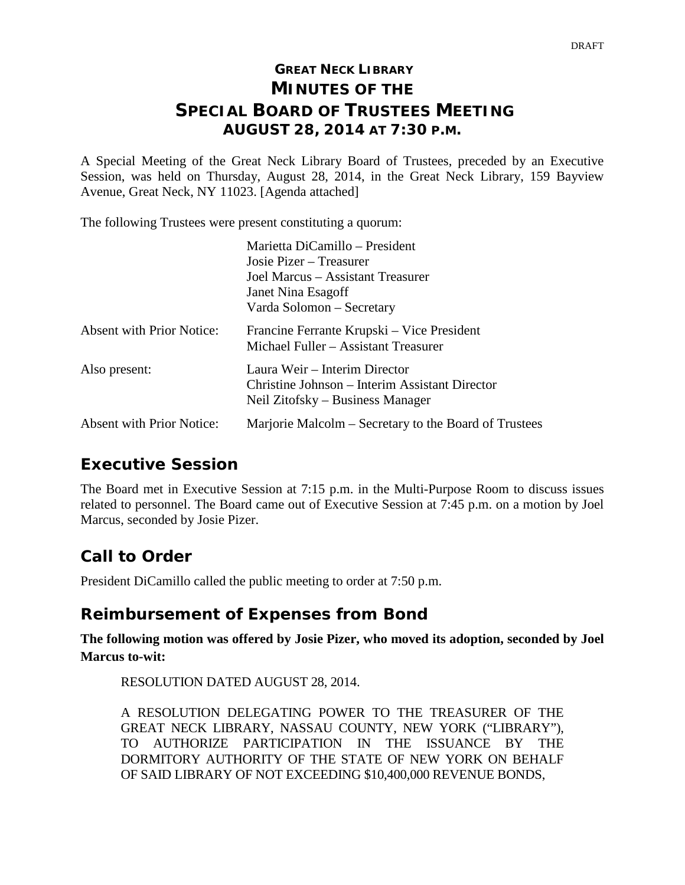## **GREAT NECK LIBRARY MINUTES OF THE SPECIAL BOARD OF TRUSTEES MEETING AUGUST 28, 2014 AT 7:30 P.M.**

A Special Meeting of the Great Neck Library Board of Trustees, preceded by an Executive Session, was held on Thursday, August 28, 2014, in the Great Neck Library, 159 Bayview Avenue, Great Neck, NY 11023. [Agenda attached]

The following Trustees were present constituting a quorum:

|                                  | Marietta DiCamillo – President                                                                                      |  |
|----------------------------------|---------------------------------------------------------------------------------------------------------------------|--|
|                                  | Josie Pizer – Treasurer                                                                                             |  |
|                                  | Joel Marcus – Assistant Treasurer                                                                                   |  |
|                                  | Janet Nina Esagoff                                                                                                  |  |
|                                  | Varda Solomon – Secretary                                                                                           |  |
| <b>Absent with Prior Notice:</b> | Francine Ferrante Krupski – Vice President<br>Michael Fuller – Assistant Treasurer                                  |  |
| Also present:                    | Laura Weir – Interim Director<br>Christine Johnson – Interim Assistant Director<br>Neil Zitofsky – Business Manager |  |
| <b>Absent with Prior Notice:</b> | Marjorie Malcolm – Secretary to the Board of Trustees                                                               |  |

## **Executive Session**

The Board met in Executive Session at 7:15 p.m. in the Multi-Purpose Room to discuss issues related to personnel. The Board came out of Executive Session at 7:45 p.m. on a motion by Joel Marcus, seconded by Josie Pizer.

# **Call to Order**

President DiCamillo called the public meeting to order at 7:50 p.m.

### **Reimbursement of Expenses from Bond**

**The following motion was offered by Josie Pizer, who moved its adoption, seconded by Joel Marcus to-wit:**

RESOLUTION DATED AUGUST 28, 2014.

A RESOLUTION DELEGATING POWER TO THE TREASURER OF THE GREAT NECK LIBRARY, NASSAU COUNTY, NEW YORK ("LIBRARY"), TO AUTHORIZE PARTICIPATION IN THE ISSUANCE BY THE DORMITORY AUTHORITY OF THE STATE OF NEW YORK ON BEHALF OF SAID LIBRARY OF NOT EXCEEDING \$10,400,000 REVENUE BONDS,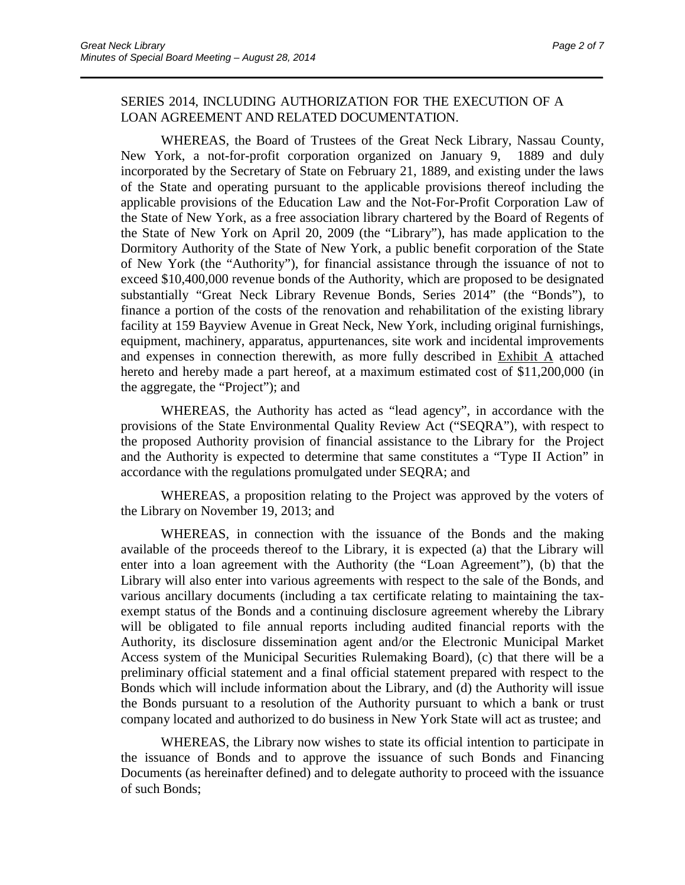#### SERIES 2014, INCLUDING AUTHORIZATION FOR THE EXECUTION OF A LOAN AGREEMENT AND RELATED DOCUMENTATION.

\_\_\_\_\_\_\_\_\_\_\_\_\_\_\_\_\_\_\_\_\_\_\_\_\_\_\_\_\_\_\_\_\_\_\_\_\_\_\_\_\_\_\_\_\_\_\_\_\_\_\_\_\_\_\_\_\_\_\_\_\_\_\_\_\_\_\_\_\_\_

WHEREAS, the Board of Trustees of the Great Neck Library, Nassau County, New York, a not-for-profit corporation organized on January 9, 1889 and duly incorporated by the Secretary of State on February 21, 1889, and existing under the laws of the State and operating pursuant to the applicable provisions thereof including the applicable provisions of the Education Law and the Not-For-Profit Corporation Law of the State of New York, as a free association library chartered by the Board of Regents of the State of New York on April 20, 2009 (the "Library"), has made application to the Dormitory Authority of the State of New York, a public benefit corporation of the State of New York (the "Authority"), for financial assistance through the issuance of not to exceed \$10,400,000 revenue bonds of the Authority, which are proposed to be designated substantially "Great Neck Library Revenue Bonds, Series 2014" (the "Bonds"), to finance a portion of the costs of the renovation and rehabilitation of the existing library facility at 159 Bayview Avenue in Great Neck, New York, including original furnishings, equipment, machinery, apparatus, appurtenances, site work and incidental improvements and expenses in connection therewith, as more fully described in Exhibit A attached hereto and hereby made a part hereof, at a maximum estimated cost of \$11,200,000 (in the aggregate, the "Project"); and

WHEREAS, the Authority has acted as "lead agency", in accordance with the provisions of the State Environmental Quality Review Act ("SEQRA"), with respect to the proposed Authority provision of financial assistance to the Library for the Project and the Authority is expected to determine that same constitutes a "Type II Action" in accordance with the regulations promulgated under SEQRA; and

WHEREAS, a proposition relating to the Project was approved by the voters of the Library on November 19, 2013; and

WHEREAS, in connection with the issuance of the Bonds and the making available of the proceeds thereof to the Library, it is expected (a) that the Library will enter into a loan agreement with the Authority (the "Loan Agreement"), (b) that the Library will also enter into various agreements with respect to the sale of the Bonds, and various ancillary documents (including a tax certificate relating to maintaining the taxexempt status of the Bonds and a continuing disclosure agreement whereby the Library will be obligated to file annual reports including audited financial reports with the Authority, its disclosure dissemination agent and/or the Electronic Municipal Market Access system of the Municipal Securities Rulemaking Board), (c) that there will be a preliminary official statement and a final official statement prepared with respect to the Bonds which will include information about the Library, and (d) the Authority will issue the Bonds pursuant to a resolution of the Authority pursuant to which a bank or trust company located and authorized to do business in New York State will act as trustee; and

WHEREAS, the Library now wishes to state its official intention to participate in the issuance of Bonds and to approve the issuance of such Bonds and Financing Documents (as hereinafter defined) and to delegate authority to proceed with the issuance of such Bonds;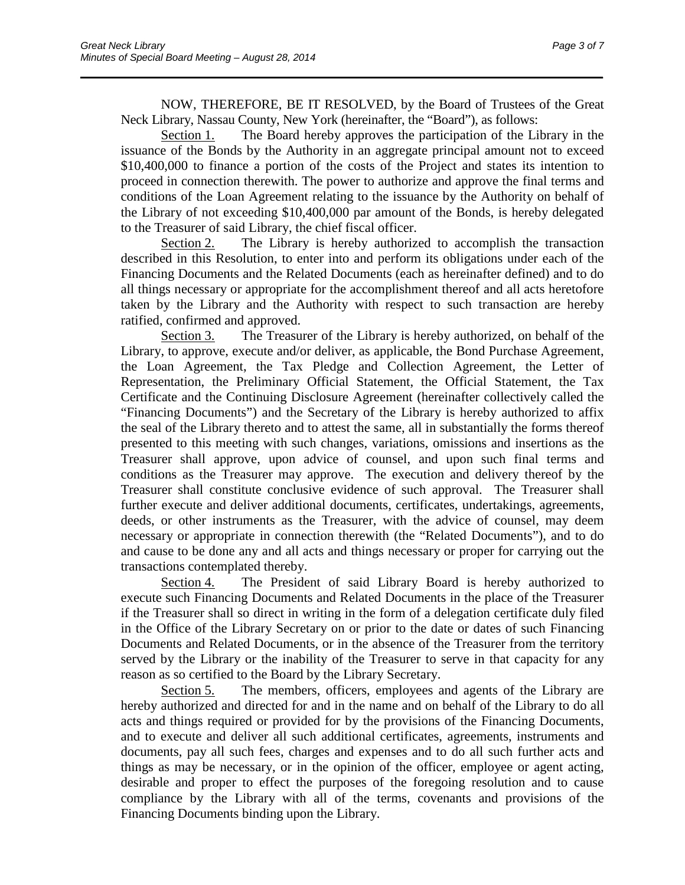NOW, THEREFORE, BE IT RESOLVED, by the Board of Trustees of the Great Neck Library, Nassau County, New York (hereinafter, the "Board"), as follows:

\_\_\_\_\_\_\_\_\_\_\_\_\_\_\_\_\_\_\_\_\_\_\_\_\_\_\_\_\_\_\_\_\_\_\_\_\_\_\_\_\_\_\_\_\_\_\_\_\_\_\_\_\_\_\_\_\_\_\_\_\_\_\_\_\_\_\_\_\_\_

Section 1. The Board hereby approves the participation of the Library in the issuance of the Bonds by the Authority in an aggregate principal amount not to exceed \$10,400,000 to finance a portion of the costs of the Project and states its intention to proceed in connection therewith. The power to authorize and approve the final terms and conditions of the Loan Agreement relating to the issuance by the Authority on behalf of the Library of not exceeding \$10,400,000 par amount of the Bonds, is hereby delegated to the Treasurer of said Library, the chief fiscal officer.

Section 2. The Library is hereby authorized to accomplish the transaction described in this Resolution, to enter into and perform its obligations under each of the Financing Documents and the Related Documents (each as hereinafter defined) and to do all things necessary or appropriate for the accomplishment thereof and all acts heretofore taken by the Library and the Authority with respect to such transaction are hereby ratified, confirmed and approved.

Section 3. The Treasurer of the Library is hereby authorized, on behalf of the Library, to approve, execute and/or deliver, as applicable, the Bond Purchase Agreement, the Loan Agreement, the Tax Pledge and Collection Agreement, the Letter of Representation, the Preliminary Official Statement, the Official Statement, the Tax Certificate and the Continuing Disclosure Agreement (hereinafter collectively called the "Financing Documents") and the Secretary of the Library is hereby authorized to affix the seal of the Library thereto and to attest the same, all in substantially the forms thereof presented to this meeting with such changes, variations, omissions and insertions as the Treasurer shall approve, upon advice of counsel, and upon such final terms and conditions as the Treasurer may approve. The execution and delivery thereof by the Treasurer shall constitute conclusive evidence of such approval. The Treasurer shall further execute and deliver additional documents, certificates, undertakings, agreements, deeds, or other instruments as the Treasurer, with the advice of counsel, may deem necessary or appropriate in connection therewith (the "Related Documents"), and to do and cause to be done any and all acts and things necessary or proper for carrying out the transactions contemplated thereby.

Section 4. The President of said Library Board is hereby authorized to execute such Financing Documents and Related Documents in the place of the Treasurer if the Treasurer shall so direct in writing in the form of a delegation certificate duly filed in the Office of the Library Secretary on or prior to the date or dates of such Financing Documents and Related Documents, or in the absence of the Treasurer from the territory served by the Library or the inability of the Treasurer to serve in that capacity for any reason as so certified to the Board by the Library Secretary.

Section 5. The members, officers, employees and agents of the Library are hereby authorized and directed for and in the name and on behalf of the Library to do all acts and things required or provided for by the provisions of the Financing Documents, and to execute and deliver all such additional certificates, agreements, instruments and documents, pay all such fees, charges and expenses and to do all such further acts and things as may be necessary, or in the opinion of the officer, employee or agent acting, desirable and proper to effect the purposes of the foregoing resolution and to cause compliance by the Library with all of the terms, covenants and provisions of the Financing Documents binding upon the Library.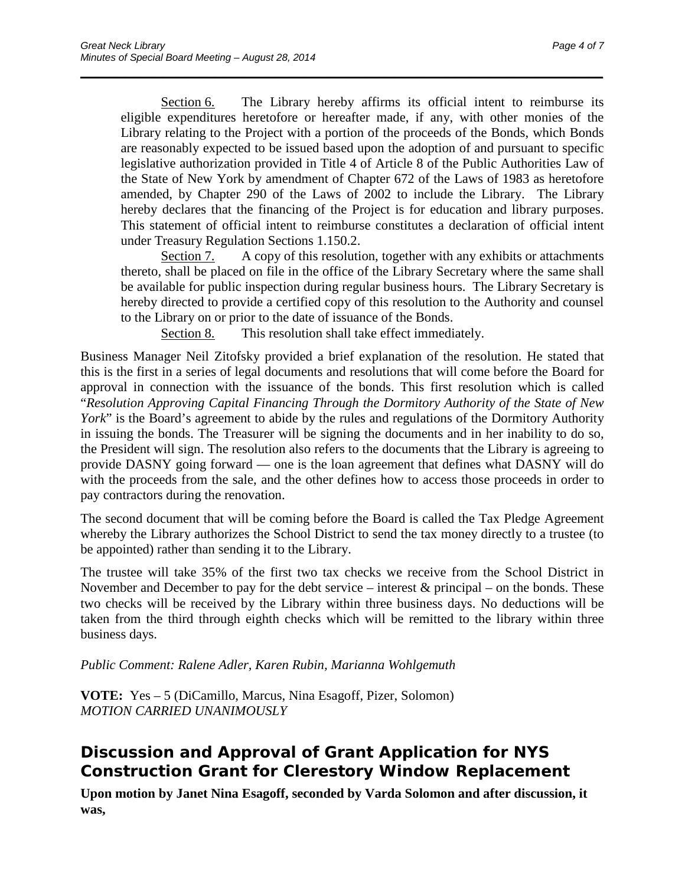Section 6. The Library hereby affirms its official intent to reimburse its eligible expenditures heretofore or hereafter made, if any, with other monies of the Library relating to the Project with a portion of the proceeds of the Bonds, which Bonds are reasonably expected to be issued based upon the adoption of and pursuant to specific legislative authorization provided in Title 4 of Article 8 of the Public Authorities Law of the State of New York by amendment of Chapter 672 of the Laws of 1983 as heretofore amended, by Chapter 290 of the Laws of 2002 to include the Library. The Library hereby declares that the financing of the Project is for education and library purposes. This statement of official intent to reimburse constitutes a declaration of official intent under Treasury Regulation Sections 1.150.2.

\_\_\_\_\_\_\_\_\_\_\_\_\_\_\_\_\_\_\_\_\_\_\_\_\_\_\_\_\_\_\_\_\_\_\_\_\_\_\_\_\_\_\_\_\_\_\_\_\_\_\_\_\_\_\_\_\_\_\_\_\_\_\_\_\_\_\_\_\_\_

Section 7. A copy of this resolution, together with any exhibits or attachments thereto, shall be placed on file in the office of the Library Secretary where the same shall be available for public inspection during regular business hours. The Library Secretary is hereby directed to provide a certified copy of this resolution to the Authority and counsel to the Library on or prior to the date of issuance of the Bonds.

Section 8. This resolution shall take effect immediately.

Business Manager Neil Zitofsky provided a brief explanation of the resolution. He stated that this is the first in a series of legal documents and resolutions that will come before the Board for approval in connection with the issuance of the bonds. This first resolution which is called "*Resolution Approving Capital Financing Through the Dormitory Authority of the State of New York*" is the Board's agreement to abide by the rules and regulations of the Dormitory Authority in issuing the bonds. The Treasurer will be signing the documents and in her inability to do so, the President will sign. The resolution also refers to the documents that the Library is agreeing to provide DASNY going forward — one is the loan agreement that defines what DASNY will do with the proceeds from the sale, and the other defines how to access those proceeds in order to pay contractors during the renovation.

The second document that will be coming before the Board is called the Tax Pledge Agreement whereby the Library authorizes the School District to send the tax money directly to a trustee (to be appointed) rather than sending it to the Library.

The trustee will take 35% of the first two tax checks we receive from the School District in November and December to pay for the debt service – interest  $\&$  principal – on the bonds. These two checks will be received by the Library within three business days. No deductions will be taken from the third through eighth checks which will be remitted to the library within three business days.

### *Public Comment: Ralene Adler, Karen Rubin, Marianna Wohlgemuth*

**VOTE:** Yes – 5 (DiCamillo, Marcus, Nina Esagoff, Pizer, Solomon) *MOTION CARRIED UNANIMOUSLY*

# **Discussion and Approval of Grant Application for NYS Construction Grant for Clerestory Window Replacement**

**Upon motion by Janet Nina Esagoff, seconded by Varda Solomon and after discussion, it was,**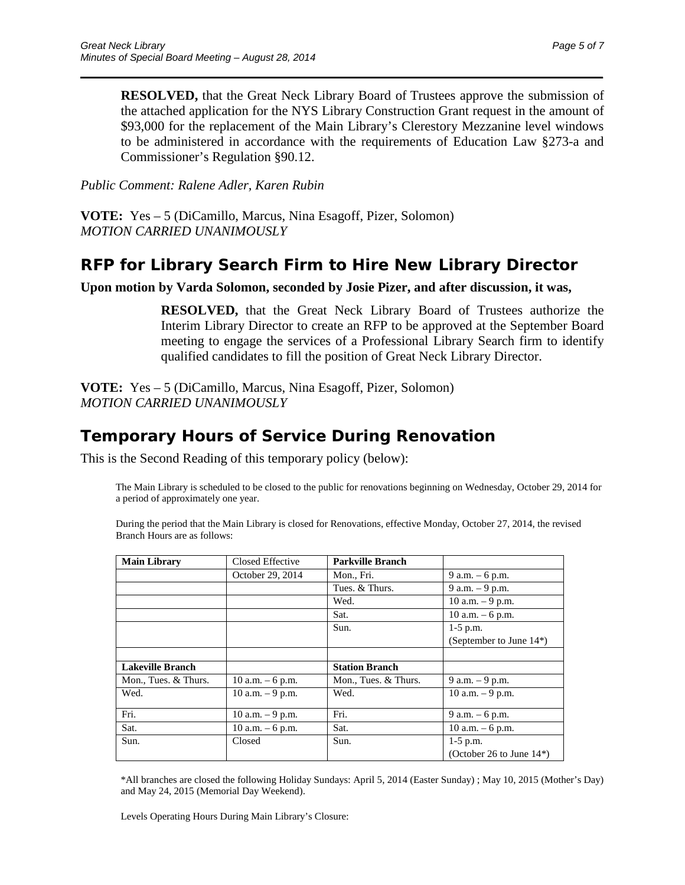**RESOLVED,** that the Great Neck Library Board of Trustees approve the submission of the attached application for the NYS Library Construction Grant request in the amount of \$93,000 for the replacement of the Main Library's Clerestory Mezzanine level windows to be administered in accordance with the requirements of Education Law §273-a and Commissioner's Regulation §90.12.

\_\_\_\_\_\_\_\_\_\_\_\_\_\_\_\_\_\_\_\_\_\_\_\_\_\_\_\_\_\_\_\_\_\_\_\_\_\_\_\_\_\_\_\_\_\_\_\_\_\_\_\_\_\_\_\_\_\_\_\_\_\_\_\_\_\_\_\_\_\_

*Public Comment: Ralene Adler, Karen Rubin*

**VOTE:** Yes – 5 (DiCamillo, Marcus, Nina Esagoff, Pizer, Solomon) *MOTION CARRIED UNANIMOUSLY* 

### **RFP for Library Search Firm to Hire New Library Director**

**Upon motion by Varda Solomon, seconded by Josie Pizer, and after discussion, it was,**

**RESOLVED,** that the Great Neck Library Board of Trustees authorize the Interim Library Director to create an RFP to be approved at the September Board meeting to engage the services of a Professional Library Search firm to identify qualified candidates to fill the position of Great Neck Library Director.

**VOTE:** Yes – 5 (DiCamillo, Marcus, Nina Esagoff, Pizer, Solomon) *MOTION CARRIED UNANIMOUSLY*

## **Temporary Hours of Service During Renovation**

This is the Second Reading of this temporary policy (below):

The Main Library is scheduled to be closed to the public for renovations beginning on Wednesday, October 29, 2014 for a period of approximately one year.

During the period that the Main Library is closed for Renovations, effective Monday, October 27, 2014, the revised Branch Hours are as follows:

| <b>Main Library</b>     | Closed Effective    | <b>Parkville Branch</b> |                              |
|-------------------------|---------------------|-------------------------|------------------------------|
|                         | October 29, 2014    | Mon., Fri.              | 9 a.m. – 6 p.m.              |
|                         |                     | Tues. & Thurs.          | 9 a.m. - 9 p.m.              |
|                         |                     | Wed.                    | 10 a.m. $-9$ p.m.            |
|                         |                     | Sat.                    | 10 a.m. $-6$ p.m.            |
|                         |                     | Sun.                    | $1-5$ p.m.                   |
|                         |                     |                         | (September to June 14*)      |
|                         |                     |                         |                              |
| <b>Lakeville Branch</b> |                     | <b>Station Branch</b>   |                              |
| Mon., Tues. & Thurs.    | 10 a.m. $-6$ p.m.   | Mon., Tues. & Thurs.    | $9$ a.m. $-9$ p.m.           |
| Wed.                    | $10$ a.m. $-9$ p.m. | Wed.                    | 10 a.m. - 9 p.m.             |
|                         |                     |                         |                              |
| Fri.                    | 10 a.m. $-9$ p.m.   | Fri.                    | 9 a.m. $-6$ p.m.             |
| Sat.                    | 10 a.m. $-6$ p.m.   | Sat.                    | 10 a.m. $-6$ p.m.            |
| Sun.                    | Closed              | Sun.                    | $1-5$ p.m.                   |
|                         |                     |                         | (October 26 to June $14^*$ ) |

\*All branches are closed the following Holiday Sundays: April 5, 2014 (Easter Sunday) ; May 10, 2015 (Mother's Day) and May 24, 2015 (Memorial Day Weekend).

Levels Operating Hours During Main Library's Closure: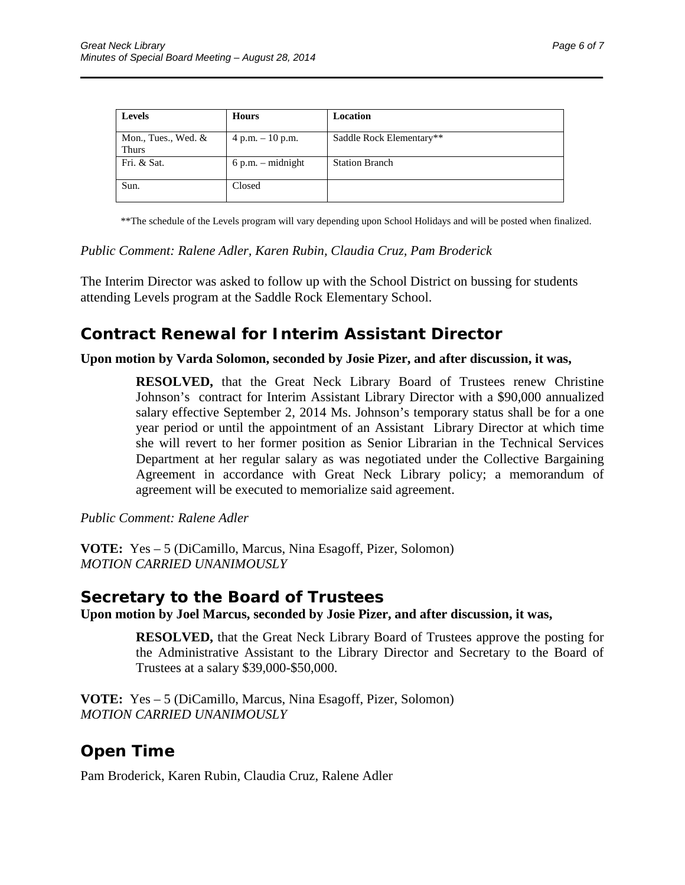| <b>Levels</b>                       | <b>Hours</b>        | Location                 |
|-------------------------------------|---------------------|--------------------------|
| Mon., Tues., Wed. &<br><b>Thurs</b> | $4 p.m. - 10 p.m.$  | Saddle Rock Elementary** |
| Fri. & Sat.                         | $6 p.m. - midnight$ | <b>Station Branch</b>    |
| Sun.                                | Closed              |                          |

\_\_\_\_\_\_\_\_\_\_\_\_\_\_\_\_\_\_\_\_\_\_\_\_\_\_\_\_\_\_\_\_\_\_\_\_\_\_\_\_\_\_\_\_\_\_\_\_\_\_\_\_\_\_\_\_\_\_\_\_\_\_\_\_\_\_\_\_\_\_

\*\*The schedule of the Levels program will vary depending upon School Holidays and will be posted when finalized.

#### *Public Comment: Ralene Adler, Karen Rubin, Claudia Cruz, Pam Broderick*

The Interim Director was asked to follow up with the School District on bussing for students attending Levels program at the Saddle Rock Elementary School.

### **Contract Renewal for Interim Assistant Director**

#### **Upon motion by Varda Solomon, seconded by Josie Pizer, and after discussion, it was,**

**RESOLVED,** that the Great Neck Library Board of Trustees renew Christine Johnson's contract for Interim Assistant Library Director with a \$90,000 annualized salary effective September 2, 2014 Ms. Johnson's temporary status shall be for a one year period or until the appointment of an Assistant Library Director at which time she will revert to her former position as Senior Librarian in the Technical Services Department at her regular salary as was negotiated under the Collective Bargaining Agreement in accordance with Great Neck Library policy; a memorandum of agreement will be executed to memorialize said agreement.

*Public Comment: Ralene Adler*

**VOTE:** Yes – 5 (DiCamillo, Marcus, Nina Esagoff, Pizer, Solomon) *MOTION CARRIED UNANIMOUSLY*

### **Secretary to the Board of Trustees**

**Upon motion by Joel Marcus, seconded by Josie Pizer, and after discussion, it was,**

**RESOLVED,** that the Great Neck Library Board of Trustees approve the posting for the Administrative Assistant to the Library Director and Secretary to the Board of Trustees at a salary \$39,000-\$50,000.

**VOTE:** Yes – 5 (DiCamillo, Marcus, Nina Esagoff, Pizer, Solomon) *MOTION CARRIED UNANIMOUSLY*

## **Open Time**

Pam Broderick, Karen Rubin, Claudia Cruz, Ralene Adler